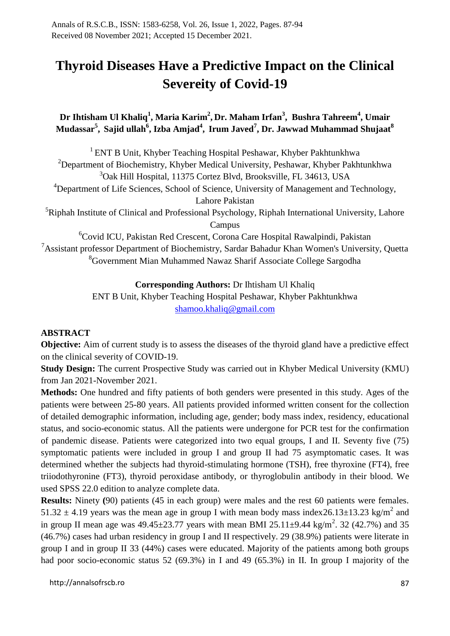# **Thyroid Diseases Have a Predictive Impact on the Clinical Severeity of Covid-19**

## **Dr Ihtisham Ul Khaliq<sup>1</sup> , Maria Karim<sup>2</sup> , Dr. Maham Irfan<sup>3</sup> , Bushra Tahreem<sup>4</sup> , Umair Mudassar<sup>5</sup> , Sajid ullah<sup>6</sup> , Izba Amjad<sup>4</sup> , Irum Javed<sup>7</sup> , Dr. Jawwad Muhammad Shujaat<sup>8</sup>**

<sup>1</sup> ENT B Unit, Khyber Teaching Hospital Peshawar, Khyber Pakhtunkhwa <sup>2</sup>Department of Biochemistry, Khyber Medical University, Peshawar, Khyber Pakhtunkhwa <sup>3</sup>Oak Hill Hospital, 11375 Cortez Blvd, Brooksville, FL 34613, USA <sup>4</sup>Department of Life Sciences, School of Science, University of Management and Technology, Lahore Pakistan

 ${}^{5}$ Riphah Institute of Clinical and Professional Psychology, Riphah International University, Lahore Campus

<sup>6</sup>Covid ICU, Pakistan Red Crescent, Corona Care Hospital Rawalpindi, Pakistan  $7A$ ssistant professor Department of Biochemistry, Sardar Bahadur Khan Women's University, Quetta <sup>8</sup>Government Mian Muhammed Nawaz Sharif Associate College Sargodha

#### **Corresponding Authors:** Dr Ihtisham Ul Khaliq

ENT B Unit, Khyber Teaching Hospital Peshawar, Khyber Pakhtunkhwa [shamoo.khaliq@gmail.com](mailto:shamoo.khaliq@gmail.com)

## **ABSTRACT**

**Objective:** Aim of current study is to assess the diseases of the thyroid gland have a predictive effect on the clinical severity of COVID-19.

**Study Design:** The current Prospective Study was carried out in Khyber Medical University (KMU) from Jan 2021-November 2021.

**Methods:** One hundred and fifty patients of both genders were presented in this study. Ages of the patients were between 25-80 years. All patients provided informed written consent for the collection of detailed demographic information, including age, gender; body mass index, residency, educational status, and socio-economic status. All the patients were undergone for PCR test for the confirmation of pandemic disease. Patients were categorized into two equal groups, I and II. Seventy five (75) symptomatic patients were included in group I and group II had 75 asymptomatic cases. It was determined whether the subjects had thyroid-stimulating hormone (TSH), free thyroxine (FT4), free triiodothyronine (FT3), thyroid peroxidase antibody, or thyroglobulin antibody in their blood. We used SPSS 22.0 edition to analyze complete data.

**Results:** Ninety **(**90) patients (45 in each group) were males and the rest 60 patients were females. 51.32  $\pm$  4.19 years was the mean age in group I with mean body mass index 26.13 $\pm$ 13.23 kg/m<sup>2</sup> and in group II mean age was  $49.45 \pm 23.77$  years with mean BMI 25.11 $\pm$ 9.44 kg/m<sup>2</sup>. 32 (42.7%) and 35 (46.7%) cases had urban residency in group I and II respectively. 29 (38.9%) patients were literate in group I and in group II 33 (44%) cases were educated. Majority of the patients among both groups had poor socio-economic status 52 (69.3%) in I and 49 (65.3%) in II. In group I majority of the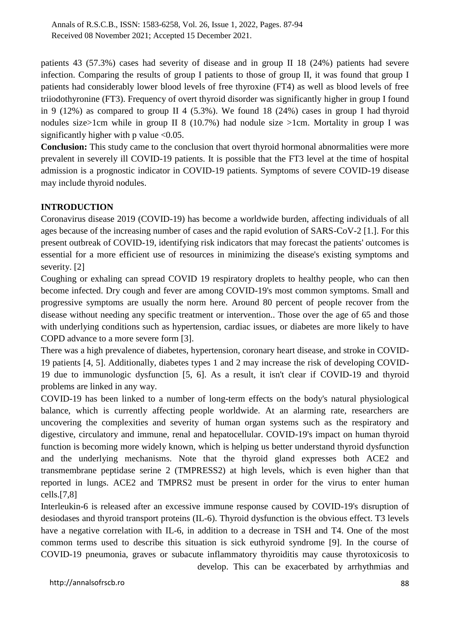patients 43 (57.3%) cases had severity of disease and in group II 18 (24%) patients had severe infection. Comparing the results of group I patients to those of group II, it was found that group I patients had considerably lower blood levels of free thyroxine (FT4) as well as blood levels of free triiodothyronine (FT3). Frequency of overt thyroid disorder was significantly higher in group I found in 9 (12%) as compared to group II 4 (5.3%). We found 18 (24%) cases in group I had thyroid nodules size>1cm while in group II 8 (10.7%) had nodule size >1cm. Mortality in group I was significantly higher with p value  $< 0.05$ .

**Conclusion:** This study came to the conclusion that overt thyroid hormonal abnormalities were more prevalent in severely ill COVID-19 patients. It is possible that the FT3 level at the time of hospital admission is a prognostic indicator in COVID-19 patients. Symptoms of severe COVID-19 disease may include thyroid nodules.

#### **INTRODUCTION**

Coronavirus disease 2019 (COVID-19) has become a worldwide burden, affecting individuals of all ages because of the increasing number of cases and the rapid evolution of SARS-CoV-2 [1.]. For this present outbreak of COVID-19, identifying risk indicators that may forecast the patients' outcomes is essential for a more efficient use of resources in minimizing the disease's existing symptoms and severity. [2]

Coughing or exhaling can spread COVID 19 respiratory droplets to healthy people, who can then become infected. Dry cough and fever are among COVID-19's most common symptoms. Small and progressive symptoms are usually the norm here. Around 80 percent of people recover from the disease without needing any specific treatment or intervention.. Those over the age of 65 and those with underlying conditions such as hypertension, cardiac issues, or diabetes are more likely to have COPD advance to a more severe form [3].

There was a high prevalence of diabetes, hypertension, coronary heart disease, and stroke in COVID-19 patients [4, 5]. Additionally, diabetes types 1 and 2 may increase the risk of developing COVID-19 due to immunologic dysfunction [5, 6]. As a result, it isn't clear if COVID-19 and thyroid problems are linked in any way.

COVID-19 has been linked to a number of long-term effects on the body's natural physiological balance, which is currently affecting people worldwide. At an alarming rate, researchers are uncovering the complexities and severity of human organ systems such as the respiratory and digestive, circulatory and immune, renal and hepatocellular. COVID-19's impact on human thyroid function is becoming more widely known, which is helping us better understand thyroid dysfunction and the underlying mechanisms. Note that the thyroid gland expresses both ACE2 and transmembrane peptidase serine 2 (TMPRESS2) at high levels, which is even higher than that reported in lungs. ACE2 and TMPRS2 must be present in order for the virus to enter human cells.[7,8]

Interleukin-6 is released after an excessive immune response caused by COVID-19's disruption of desiodases and thyroid transport proteins (IL-6). Thyroid dysfunction is the obvious effect. T3 levels have a negative correlation with IL-6, in addition to a decrease in TSH and T4. One of the most common terms used to describe this situation is sick euthyroid syndrome [9]. In the course of COVID-19 pneumonia, graves or subacute inflammatory thyroiditis may cause thyrotoxicosis to develop. This can be exacerbated by arrhythmias and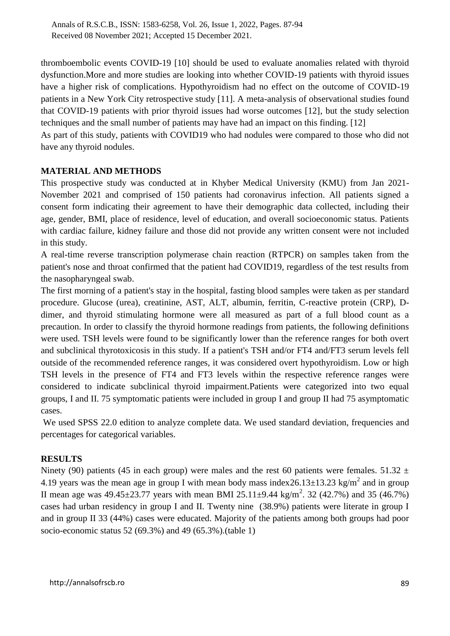thromboembolic events COVID-19 [10] should be used to evaluate anomalies related with thyroid dysfunction.More and more studies are looking into whether COVID-19 patients with thyroid issues have a higher risk of complications. Hypothyroidism had no effect on the outcome of COVID-19 patients in a New York City retrospective study [11]. A meta-analysis of observational studies found that COVID-19 patients with prior thyroid issues had worse outcomes [12], but the study selection techniques and the small number of patients may have had an impact on this finding. [12]

As part of this study, patients with COVID19 who had nodules were compared to those who did not have any thyroid nodules.

#### **MATERIAL AND METHODS**

This prospective study was conducted at in Khyber Medical University (KMU) from Jan 2021- November 2021 and comprised of 150 patients had coronavirus infection. All patients signed a consent form indicating their agreement to have their demographic data collected, including their age, gender, BMI, place of residence, level of education, and overall socioeconomic status. Patients with cardiac failure, kidney failure and those did not provide any written consent were not included in this study.

A real-time reverse transcription polymerase chain reaction (RTPCR) on samples taken from the patient's nose and throat confirmed that the patient had COVID19, regardless of the test results from the nasopharyngeal swab.

The first morning of a patient's stay in the hospital, fasting blood samples were taken as per standard procedure. Glucose (urea), creatinine, AST, ALT, albumin, ferritin, C-reactive protein (CRP), Ddimer, and thyroid stimulating hormone were all measured as part of a full blood count as a precaution. In order to classify the thyroid hormone readings from patients, the following definitions were used. TSH levels were found to be significantly lower than the reference ranges for both overt and subclinical thyrotoxicosis in this study. If a patient's TSH and/or FT4 and/FT3 serum levels fell outside of the recommended reference ranges, it was considered overt hypothyroidism. Low or high TSH levels in the presence of FT4 and FT3 levels within the respective reference ranges were considered to indicate subclinical thyroid impairment.Patients were categorized into two equal groups, I and II. 75 symptomatic patients were included in group I and group II had 75 asymptomatic cases.

We used SPSS 22.0 edition to analyze complete data. We used standard deviation, frequencies and percentages for categorical variables.

#### **RESULTS**

Ninety (90) patients (45 in each group) were males and the rest 60 patients were females.  $51.32 \pm 1.52$ 4.19 years was the mean age in group I with mean body mass index  $26.13 \pm 13.23$  kg/m<sup>2</sup> and in group II mean age was  $49.45 \pm 23.77$  years with mean BMI 25.11 $\pm 9.44$  kg/m<sup>2</sup>. 32 (42.7%) and 35 (46.7%) cases had urban residency in group I and II. Twenty nine (38.9%) patients were literate in group I and in group II 33 (44%) cases were educated. Majority of the patients among both groups had poor socio-economic status 52 (69.3%) and 49 (65.3%).(table 1)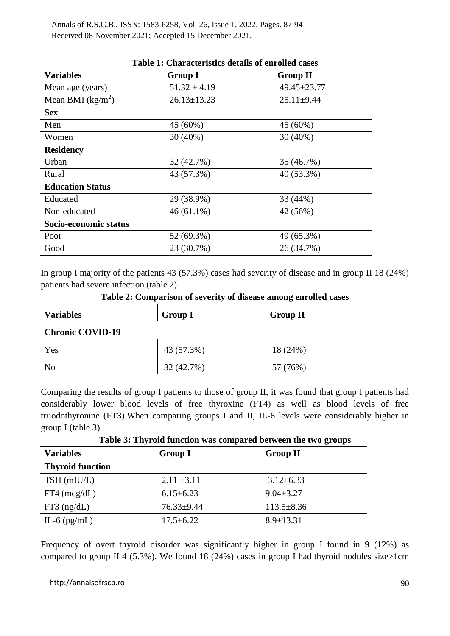| <b>Variables</b>        |                   |                  |  |  |  |
|-------------------------|-------------------|------------------|--|--|--|
|                         | <b>Group I</b>    | <b>Group II</b>  |  |  |  |
| Mean age (years)        | $51.32 \pm 4.19$  | 49.45±23.77      |  |  |  |
| Mean BMI $(kg/m2)$      | $26.13 \pm 13.23$ | $25.11 \pm 9.44$ |  |  |  |
| <b>Sex</b>              |                   |                  |  |  |  |
| Men                     | 45 (60%)          | 45 (60%)         |  |  |  |
| Women                   | $30(40\%)$        | 30 (40%)         |  |  |  |
| <b>Residency</b>        |                   |                  |  |  |  |
| Urban                   | 32(42.7%)         | 35 (46.7%)       |  |  |  |
| Rural                   | 43 (57.3%)        | 40 (53.3%)       |  |  |  |
| <b>Education Status</b> |                   |                  |  |  |  |
| Educated                | 29 (38.9%)        | 33 (44%)         |  |  |  |
| Non-educated            | $46(61.1\%)$      | 42 (56%)         |  |  |  |
| Socio-economic status   |                   |                  |  |  |  |
| Poor                    | 52 (69.3%)        | 49 (65.3%)       |  |  |  |
| Good                    | 23 (30.7%)        | 26 (34.7%)       |  |  |  |

#### **Table 1: Characteristics details of enrolled cases**

In group I majority of the patients 43 (57.3%) cases had severity of disease and in group II 18 (24%) patients had severe infection.(table 2)

| <b>Variables</b>        | <b>Group I</b> | <b>Group II</b> |  |  |
|-------------------------|----------------|-----------------|--|--|
| <b>Chronic COVID-19</b> |                |                 |  |  |
| Yes                     | 43 (57.3%)     | 18 (24%)        |  |  |
| N <sub>o</sub>          | 32 (42.7%)     | 57 (76%)        |  |  |

**Table 2: Comparison of severity of disease among enrolled cases**

Comparing the results of group I patients to those of group II, it was found that group I patients had considerably lower blood levels of free thyroxine (FT4) as well as blood levels of free triiodothyronine (FT3).When comparing groups I and II, IL-6 levels were considerably higher in group I.(table 3)

**Table 3: Thyroid function was compared between the two groups**

| <b>Variables</b>        | <b>Group I</b>   | <b>Group II</b>  |  |  |
|-------------------------|------------------|------------------|--|--|
| <b>Thyroid function</b> |                  |                  |  |  |
| TSH (mIU/L)             | $2.11 \pm 3.11$  | $3.12 \pm 6.33$  |  |  |
| $FT4 \ (mcg/dL)$        | $6.15 \pm 6.23$  | $9.04 \pm 3.27$  |  |  |
| $FT3$ (ng/dL)           | $76.33 \pm 9.44$ | $113.5 \pm 8.36$ |  |  |
| IL-6 $(pg/mL)$          | $17.5 \pm 6.22$  | $8.9 \pm 13.31$  |  |  |

Frequency of overt thyroid disorder was significantly higher in group I found in 9 (12%) as compared to group II 4 (5.3%). We found 18 (24%) cases in group I had thyroid nodules size>1cm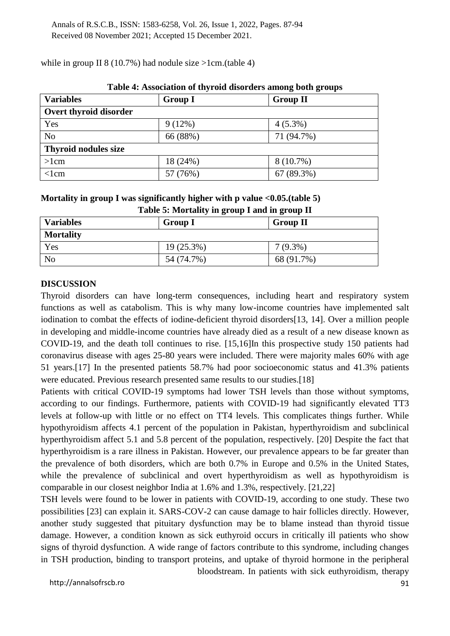| Table 4: Association of thyroid disorders among both groups |                |                 |  |  |  |
|-------------------------------------------------------------|----------------|-----------------|--|--|--|
| <b>Variables</b>                                            | <b>Group I</b> | <b>Group II</b> |  |  |  |
| Overt thyroid disorder                                      |                |                 |  |  |  |
| Yes                                                         | $9(12\%)$      | $4(5.3\%)$      |  |  |  |
| N <sub>o</sub>                                              | 66 (88%)       | 71 (94.7%)      |  |  |  |
| <b>Thyroid nodules size</b>                                 |                |                 |  |  |  |
| $>1$ cm                                                     | 18 (24%)       | $8(10.7\%)$     |  |  |  |
| $<$ lcm                                                     | 57 (76%)       | 67 (89.3%)      |  |  |  |

while in group II 8 (10.7%) had nodule size  $>1$ cm.(table 4)

|  | Mortality in group I was significantly higher with p value $\langle 0.05$ . (table 5) |
|--|---------------------------------------------------------------------------------------|

|  | and the contract of the contract of the contract of the contract of the contract of the contract of the contract of |  |  |
|--|---------------------------------------------------------------------------------------------------------------------|--|--|
|  | Table 5: Mortality in group I and in group II                                                                       |  |  |

| <b>Variables</b> | <b>Group I</b> | <b>Group II</b> |
|------------------|----------------|-----------------|
| <b>Mortality</b> |                |                 |
| Yes              | $19(25.3\%)$   | $7(9.3\%)$      |
| N <sub>0</sub>   | 54 (74.7%)     | 68 (91.7%)      |

#### **DISCUSSION**

Thyroid disorders can have long-term consequences, including heart and respiratory system functions as well as catabolism. This is why many low-income countries have implemented salt iodination to combat the effects of iodine-deficient thyroid disorders[13, 14]. Over a million people in developing and middle-income countries have already died as a result of a new disease known as COVID-19, and the death toll continues to rise. [15,16]In this prospective study 150 patients had coronavirus disease with ages 25-80 years were included. There were majority males 60% with age 51 years.[17] In the presented patients 58.7% had poor socioeconomic status and 41.3% patients were educated. Previous research presented same results to our studies.[18]

Patients with critical COVID-19 symptoms had lower TSH levels than those without symptoms, according to our findings. Furthermore, patients with COVID-19 had significantly elevated TT3 levels at follow-up with little or no effect on TT4 levels. This complicates things further. While hypothyroidism affects 4.1 percent of the population in Pakistan, hyperthyroidism and subclinical hyperthyroidism affect 5.1 and 5.8 percent of the population, respectively. [20] Despite the fact that hyperthyroidism is a rare illness in Pakistan. However, our prevalence appears to be far greater than the prevalence of both disorders, which are both 0.7% in Europe and 0.5% in the United States, while the prevalence of subclinical and overt hyperthyroidism as well as hypothyroidism is comparable in our closest neighbor India at 1.6% and 1.3%, respectively. [21,22]

TSH levels were found to be lower in patients with COVID-19, according to one study. These two possibilities [23] can explain it. SARS-COV-2 can cause damage to hair follicles directly. However, another study suggested that pituitary dysfunction may be to blame instead than thyroid tissue damage. However, a condition known as sick euthyroid occurs in critically ill patients who show signs of thyroid dysfunction. A wide range of factors contribute to this syndrome, including changes in TSH production, binding to transport proteins, and uptake of thyroid hormone in the peripheral

http://annalsofrscb.ro 91

bloodstream. In patients with sick euthyroidism, therapy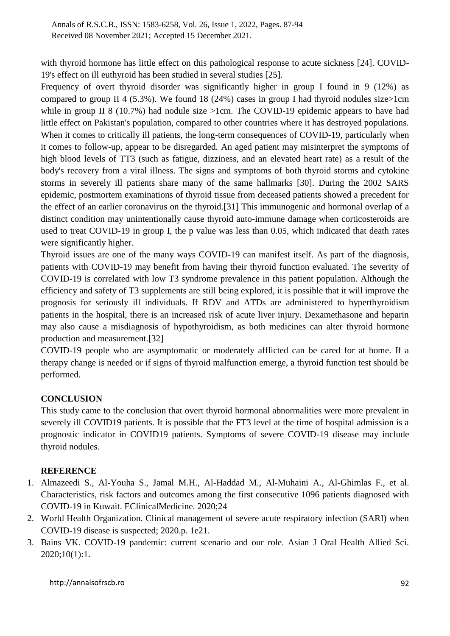with thyroid hormone has little effect on this pathological response to acute sickness [24]. COVID-19's effect on ill euthyroid has been studied in several studies [25].

Frequency of overt thyroid disorder was significantly higher in group I found in 9 (12%) as compared to group II 4 (5.3%). We found 18 (24%) cases in group I had thyroid nodules size>1cm while in group II 8 (10.7%) had nodule size >1cm. The COVID-19 epidemic appears to have had little effect on Pakistan's population, compared to other countries where it has destroyed populations. When it comes to critically ill patients, the long-term consequences of COVID-19, particularly when it comes to follow-up, appear to be disregarded. An aged patient may misinterpret the symptoms of high blood levels of TT3 (such as fatigue, dizziness, and an elevated heart rate) as a result of the body's recovery from a viral illness. The signs and symptoms of both thyroid storms and cytokine storms in severely ill patients share many of the same hallmarks [30]. During the 2002 SARS epidemic, postmortem examinations of thyroid tissue from deceased patients showed a precedent for the effect of an earlier coronavirus on the thyroid.[31] This immunogenic and hormonal overlap of a distinct condition may unintentionally cause thyroid auto-immune damage when corticosteroids are used to treat COVID-19 in group I, the p value was less than 0.05, which indicated that death rates were significantly higher.

Thyroid issues are one of the many ways COVID-19 can manifest itself. As part of the diagnosis, patients with COVID-19 may benefit from having their thyroid function evaluated. The severity of COVID-19 is correlated with low T3 syndrome prevalence in this patient population. Although the efficiency and safety of T3 supplements are still being explored, it is possible that it will improve the prognosis for seriously ill individuals. If RDV and ATDs are administered to hyperthyroidism patients in the hospital, there is an increased risk of acute liver injury. Dexamethasone and heparin may also cause a misdiagnosis of hypothyroidism, as both medicines can alter thyroid hormone production and measurement.[32]

COVID-19 people who are asymptomatic or moderately afflicted can be cared for at home. If a therapy change is needed or if signs of thyroid malfunction emerge, a thyroid function test should be performed.

## **CONCLUSION**

This study came to the conclusion that overt thyroid hormonal abnormalities were more prevalent in severely ill COVID19 patients. It is possible that the FT3 level at the time of hospital admission is a prognostic indicator in COVID19 patients. Symptoms of severe COVID-19 disease may include thyroid nodules.

#### **REFERENCE**

- 1. Almazeedi S., Al-Youha S., Jamal M.H., Al-Haddad M., Al-Muhaini A., Al-Ghimlas F., et al. Characteristics, risk factors and outcomes among the first consecutive 1096 patients diagnosed with COVID-19 in Kuwait. EClinicalMedicine. 2020;24
- 2. World Health Organization. Clinical management of severe acute respiratory infection (SARI) when COVID-19 disease is suspected; 2020.p. 1e21.
- 3. Bains VK. COVID-19 pandemic: current scenario and our role. Asian J Oral Health Allied Sci. 2020;10(1):1.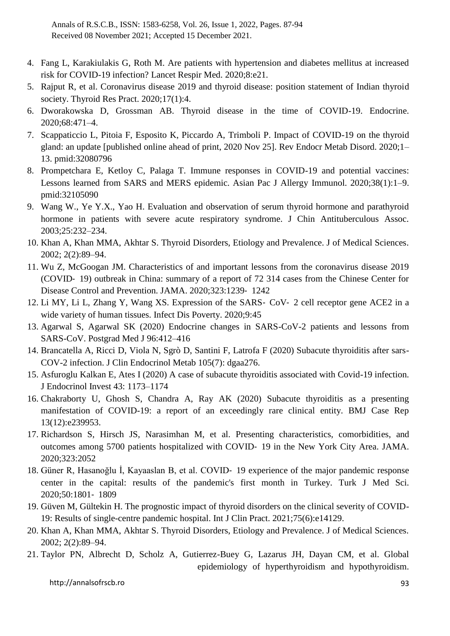- 4. Fang L, Karakiulakis G, Roth M. Are patients with hypertension and diabetes mellitus at increased risk for COVID-19 infection? Lancet Respir Med. 2020;8:e21.
- 5. Rajput R, et al. Coronavirus disease 2019 and thyroid disease: position statement of Indian thyroid society. Thyroid Res Pract. 2020;17(1):4.
- 6. Dworakowska D, Grossman AB. Thyroid disease in the time of COVID-19. Endocrine. 2020;68:471–4.
- 7. Scappaticcio L, Pitoia F, Esposito K, Piccardo A, Trimboli P. Impact of COVID-19 on the thyroid gland: an update [published online ahead of print, 2020 Nov 25]. Rev Endocr Metab Disord. 2020;1– 13. pmid:32080796
- 8. Prompetchara E, Ketloy C, Palaga T. Immune responses in COVID-19 and potential vaccines: Lessons learned from SARS and MERS epidemic. Asian Pac J Allergy Immunol. 2020;38(1):1–9. pmid:32105090
- 9. Wang W., Ye Y.X., Yao H. Evaluation and observation of serum thyroid hormone and parathyroid hormone in patients with severe acute respiratory syndrome. J Chin Antituberculous Assoc. 2003;25:232–234.
- 10. Khan A, Khan MMA, Akhtar S. Thyroid Disorders, Etiology and Prevalence. J of Medical Sciences. 2002; 2(2):89–94.
- 11. Wu Z, McGoogan JM. Characteristics of and important lessons from the coronavirus disease 2019 (COVID‐ 19) outbreak in China: summary of a report of 72 314 cases from the Chinese Center for Disease Control and Prevention. JAMA. 2020;323:1239‐ 1242
- 12. Li MY, Li L, Zhang Y, Wang XS. Expression of the SARS‐ CoV‐ 2 cell receptor gene ACE2 in a wide variety of human tissues. Infect Dis Poverty. 2020;9:45
- 13. Agarwal S, Agarwal SK (2020) Endocrine changes in SARS-CoV-2 patients and lessons from SARS-CoV. Postgrad Med J 96:412–416
- 14. Brancatella A, Ricci D, Viola N, Sgrò D, Santini F, Latrofa F (2020) Subacute thyroiditis after sars-COV-2 infection. J Clin Endocrinol Metab 105(7): dgaa276.
- 15. Asfuroglu Kalkan E, Ates I (2020) A case of subacute thyroiditis associated with Covid-19 infection. J Endocrinol Invest 43: 1173–1174
- 16. Chakraborty U, Ghosh S, Chandra A, Ray AK (2020) Subacute thyroiditis as a presenting manifestation of COVID-19: a report of an exceedingly rare clinical entity. BMJ Case Rep 13(12):e239953.
- 17. Richardson S, Hirsch JS, Narasimhan M, et al. Presenting characteristics, comorbidities, and outcomes among 5700 patients hospitalized with COVID‐ 19 in the New York City Area. JAMA. 2020;323:2052
- 18. Güner R, Hasanoğlu İ, Kayaaslan B, et al. COVID‐ 19 experience of the major pandemic response center in the capital: results of the pandemic's first month in Turkey. Turk J Med Sci. 2020;50:1801‐ 1809
- 19. Güven M, Gültekin H. The prognostic impact of thyroid disorders on the clinical severity of COVID-19: Results of single-centre pandemic hospital. Int J Clin Pract. 2021;75(6):e14129.
- 20. Khan A, Khan MMA, Akhtar S. Thyroid Disorders, Etiology and Prevalence. J of Medical Sciences. 2002; 2(2):89–94.
- 21. Taylor PN, Albrecht D, Scholz A, Gutierrez-Buey G, Lazarus JH, Dayan CM, et al. Global epidemiology of hyperthyroidism and hypothyroidism.

http://annalsofrscb.ro 93